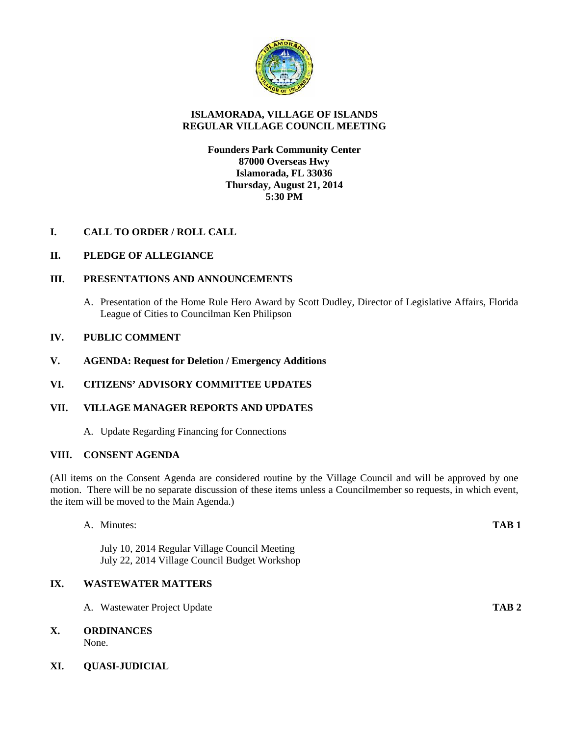

# **ISLAMORADA, VILLAGE OF ISLANDS REGULAR VILLAGE COUNCIL MEETING**

## **Founders Park Community Center 87000 Overseas Hwy Islamorada, FL 33036 Thursday, August 21, 2014 5:30 PM**

# **I. CALL TO ORDER / ROLL CALL**

# **II. PLEDGE OF ALLEGIANCE**

## **III. PRESENTATIONS AND ANNOUNCEMENTS**

A. Presentation of the Home Rule Hero Award by Scott Dudley, Director of Legislative Affairs, Florida League of Cities to Councilman Ken Philipson

## **IV. PUBLIC COMMENT**

**V. AGENDA: Request for Deletion / Emergency Additions**

#### **VI. CITIZENS' ADVISORY COMMITTEE UPDATES**

# **VII. VILLAGE MANAGER REPORTS AND UPDATES**

A. Update Regarding Financing for Connections

#### **VIII. CONSENT AGENDA**

(All items on the Consent Agenda are considered routine by the Village Council and will be approved by one motion. There will be no separate discussion of these items unless a Councilmember so requests, in which event, the item will be moved to the Main Agenda.)

## A. Minutes: **TAB 1**

July 10, 2014 Regular Village Council Meeting July 22, 2014 Village Council Budget Workshop

# **IX. WASTEWATER MATTERS**

A. Wastewater Project Update **TAB 2**

# **X. ORDINANCES**

None.

# **XI. QUASI-JUDICIAL**